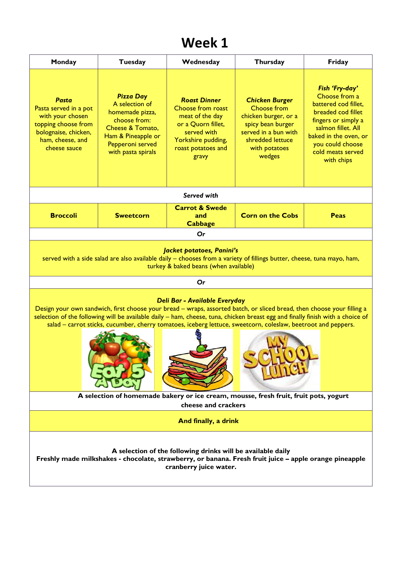## **Week 1**

| Monday                                                                                                                                                                                                                                                                                                                                                                                                     | <b>Tuesday</b>                                                                                                                                            | Wednesday                                                                                                                                             | Thursday                                                                                                                                                 | Friday                                                                                                                                                                                                     |  |  |  |  |
|------------------------------------------------------------------------------------------------------------------------------------------------------------------------------------------------------------------------------------------------------------------------------------------------------------------------------------------------------------------------------------------------------------|-----------------------------------------------------------------------------------------------------------------------------------------------------------|-------------------------------------------------------------------------------------------------------------------------------------------------------|----------------------------------------------------------------------------------------------------------------------------------------------------------|------------------------------------------------------------------------------------------------------------------------------------------------------------------------------------------------------------|--|--|--|--|
| <b>Pasta</b><br>Pasta served in a pot<br>with your chosen<br>topping choose from<br>bolognaise, chicken,<br>ham, cheese, and<br>cheese sauce                                                                                                                                                                                                                                                               | <b>Pizza Day</b><br>A selection of<br>homemade pizza,<br>choose from:<br>Cheese & Tomato,<br>Ham & Pineapple or<br>Pepperoni served<br>with pasta spirals | <b>Roast Dinner</b><br>Choose from roast<br>meat of the day<br>or a Quorn fillet,<br>served with<br>Yorkshire pudding,<br>roast potatoes and<br>gravy | <b>Chicken Burger</b><br>Choose from<br>chicken burger, or a<br>spicy bean burger<br>served in a bun with<br>shredded lettuce<br>with potatoes<br>wedges | Fish 'Fry-day'<br>Choose from a<br>battered cod fillet,<br>breaded cod fillet<br>fingers or simply a<br>salmon fillet. All<br>baked in the oven, or<br>you could choose<br>cold meats served<br>with chips |  |  |  |  |
|                                                                                                                                                                                                                                                                                                                                                                                                            | Served with                                                                                                                                               |                                                                                                                                                       |                                                                                                                                                          |                                                                                                                                                                                                            |  |  |  |  |
| <b>Broccoli</b>                                                                                                                                                                                                                                                                                                                                                                                            | <b>Sweetcorn</b>                                                                                                                                          | <b>Carrot &amp; Swede</b><br>and<br><b>Cabbage</b>                                                                                                    | <b>Corn on the Cobs</b>                                                                                                                                  | Peas                                                                                                                                                                                                       |  |  |  |  |
|                                                                                                                                                                                                                                                                                                                                                                                                            |                                                                                                                                                           | Or                                                                                                                                                    |                                                                                                                                                          |                                                                                                                                                                                                            |  |  |  |  |
| Jacket potatoes, Panini's<br>served with a side salad are also available daily - chooses from a variety of fillings butter, cheese, tuna mayo, ham,<br>turkey & baked beans (when available)<br>Or                                                                                                                                                                                                         |                                                                                                                                                           |                                                                                                                                                       |                                                                                                                                                          |                                                                                                                                                                                                            |  |  |  |  |
| Deli Bar - Available Everyday<br>Design your own sandwich, first choose your bread - wraps, assorted batch, or sliced bread, then choose your filling a<br>selection of the following will be available daily – ham, cheese, tuna, chicken breast egg and finally finish with a choice of<br>salad - carrot sticks, cucumber, cherry tomatoes, iceberg lettuce, sweetcorn, coleslaw, beetroot and peppers. |                                                                                                                                                           |                                                                                                                                                       |                                                                                                                                                          |                                                                                                                                                                                                            |  |  |  |  |
| A selection of homemade bakery or ice cream, mousse, fresh fruit, fruit pots, yogurt<br>cheese and crackers                                                                                                                                                                                                                                                                                                |                                                                                                                                                           |                                                                                                                                                       |                                                                                                                                                          |                                                                                                                                                                                                            |  |  |  |  |
| And finally, a drink                                                                                                                                                                                                                                                                                                                                                                                       |                                                                                                                                                           |                                                                                                                                                       |                                                                                                                                                          |                                                                                                                                                                                                            |  |  |  |  |
| A selection of the following drinks will be available daily<br>Freshly made milkshakes - chocolate, strawberry, or banana. Fresh fruit juice – apple orange pineapple<br>cranberry juice water.                                                                                                                                                                                                            |                                                                                                                                                           |                                                                                                                                                       |                                                                                                                                                          |                                                                                                                                                                                                            |  |  |  |  |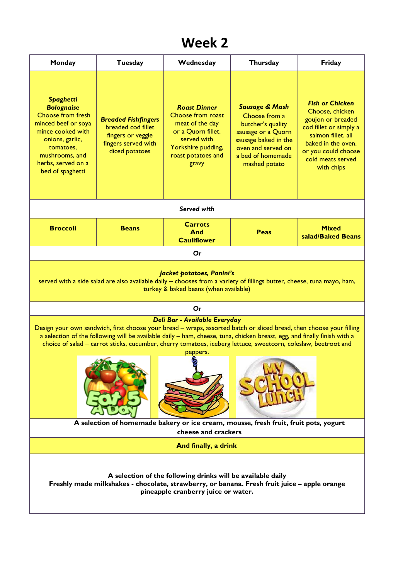## **Week 2**

| Monday                                                                                                                                                                                                                                                                                                                                                                                                                                | Tuesday                                                                                                        | Wednesday                                                                                                                                             | Thursday                                                                                                                                                                  | Friday                                                                                                                                                                                         |  |  |  |
|---------------------------------------------------------------------------------------------------------------------------------------------------------------------------------------------------------------------------------------------------------------------------------------------------------------------------------------------------------------------------------------------------------------------------------------|----------------------------------------------------------------------------------------------------------------|-------------------------------------------------------------------------------------------------------------------------------------------------------|---------------------------------------------------------------------------------------------------------------------------------------------------------------------------|------------------------------------------------------------------------------------------------------------------------------------------------------------------------------------------------|--|--|--|
| <b>Spaghetti</b><br><b>Bolognaise</b><br><b>Choose from fresh</b><br>minced beef or soya<br>mince cooked with<br>onions, garlic,<br>tomatoes,<br>mushrooms, and<br>herbs, served on a<br>bed of spaghetti                                                                                                                                                                                                                             | <b>Breaded Fishfingers</b><br>breaded cod fillet<br>fingers or veggie<br>fingers served with<br>diced potatoes | <b>Roast Dinner</b><br>Choose from roast<br>meat of the day<br>or a Quorn fillet,<br>served with<br>Yorkshire pudding,<br>roast potatoes and<br>gravy | <b>Sausage &amp; Mash</b><br>Choose from a<br>butcher's quality<br>sausage or a Quorn<br>sausage baked in the<br>oven and served on<br>a bed of homemade<br>mashed potato | <b>Fish or Chicken</b><br>Choose, chicken<br>goujon or breaded<br>cod fillet or simply a<br>salmon fillet, all<br>baked in the oven,<br>or you could choose<br>cold meats served<br>with chips |  |  |  |
| Served with                                                                                                                                                                                                                                                                                                                                                                                                                           |                                                                                                                |                                                                                                                                                       |                                                                                                                                                                           |                                                                                                                                                                                                |  |  |  |
| <b>Broccoli</b>                                                                                                                                                                                                                                                                                                                                                                                                                       | <b>Beans</b>                                                                                                   | <b>Carrots</b><br>And<br><b>Cauliflower</b>                                                                                                           | Peas                                                                                                                                                                      | <b>Mixed</b><br>salad/Baked Beans                                                                                                                                                              |  |  |  |
|                                                                                                                                                                                                                                                                                                                                                                                                                                       |                                                                                                                | Or                                                                                                                                                    |                                                                                                                                                                           |                                                                                                                                                                                                |  |  |  |
| Jacket potatoes, Panini's<br>served with a side salad are also available daily - chooses from a variety of fillings butter, cheese, tuna mayo, ham,<br>turkey & baked beans (when available)                                                                                                                                                                                                                                          |                                                                                                                |                                                                                                                                                       |                                                                                                                                                                           |                                                                                                                                                                                                |  |  |  |
| Or                                                                                                                                                                                                                                                                                                                                                                                                                                    |                                                                                                                |                                                                                                                                                       |                                                                                                                                                                           |                                                                                                                                                                                                |  |  |  |
| Deli Bar - Available Everyday<br>Design your own sandwich, first choose your bread - wraps, assorted batch or sliced bread, then choose your filling<br>a selection of the following will be available daily – ham, cheese, tuna, chicken breast, egg, and finally finish with a<br>choice of salad - carrot sticks, cucumber, cherry tomatoes, iceberg lettuce, sweetcorn, coleslaw, beetroot and<br>peppers.<br>$\mathscr{L}$<br>G. |                                                                                                                |                                                                                                                                                       |                                                                                                                                                                           |                                                                                                                                                                                                |  |  |  |
| A selection of homemade bakery or ice cream, mousse, fresh fruit, fruit pots, yogurt<br>cheese and crackers                                                                                                                                                                                                                                                                                                                           |                                                                                                                |                                                                                                                                                       |                                                                                                                                                                           |                                                                                                                                                                                                |  |  |  |
| And finally, a drink                                                                                                                                                                                                                                                                                                                                                                                                                  |                                                                                                                |                                                                                                                                                       |                                                                                                                                                                           |                                                                                                                                                                                                |  |  |  |
| A selection of the following drinks will be available daily<br>Freshly made milkshakes - chocolate, strawberry, or banana. Fresh fruit juice - apple orange<br>pineapple cranberry juice or water.                                                                                                                                                                                                                                    |                                                                                                                |                                                                                                                                                       |                                                                                                                                                                           |                                                                                                                                                                                                |  |  |  |